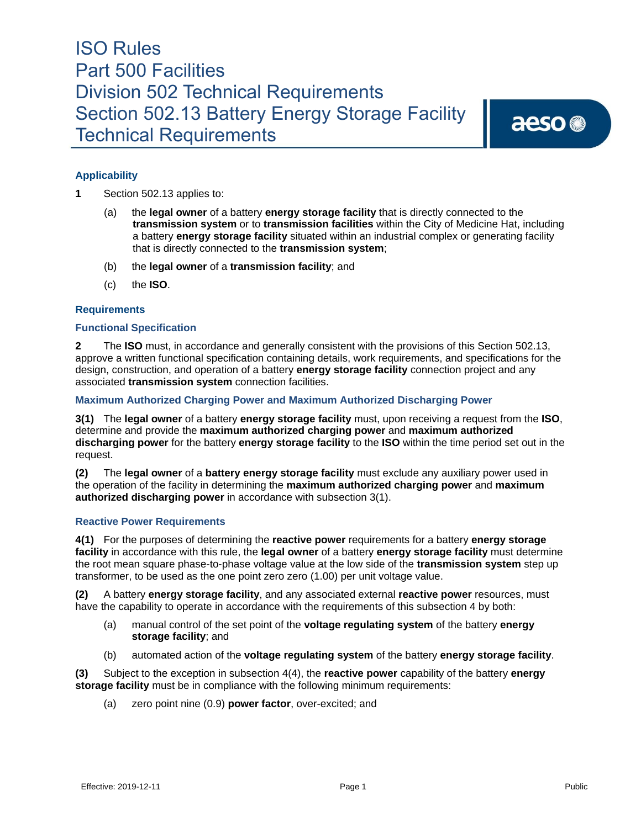aeso<sup>®</sup>

# **Applicability**

**1** Section 502.13 applies to:

- (a) the **legal owner** of a battery **energy storage facility** that is directly connected to the **transmission system** or to **transmission facilities** within the City of Medicine Hat, including a battery **energy storage facility** situated within an industrial complex or generating facility that is directly connected to the **transmission system**;
- (b) the **legal owner** of a **transmission facility**; and
- (c) the **ISO**.

### **Requirements**

#### **Functional Specification**

**2** The **ISO** must, in accordance and generally consistent with the provisions of this Section 502.13, approve a written functional specification containing details, work requirements, and specifications for the design, construction, and operation of a battery **energy storage facility** connection project and any associated **transmission system** connection facilities.

### **Maximum Authorized Charging Power and Maximum Authorized Discharging Power**

**3(1)** The **legal owner** of a battery **energy storage facility** must, upon receiving a request from the **ISO**, determine and provide the **maximum authorized charging power** and **maximum authorized discharging power** for the battery **energy storage facility** to the **ISO** within the time period set out in the request.

**(2)** The **legal owner** of a **battery energy storage facility** must exclude any auxiliary power used in the operation of the facility in determining the **maximum authorized charging power** and **maximum authorized discharging power** in accordance with subsection 3(1).

### **Reactive Power Requirements**

**4(1)** For the purposes of determining the **reactive power** requirements for a battery **energy storage facility** in accordance with this rule, the **legal owner** of a battery **energy storage facility** must determine the root mean square phase-to-phase voltage value at the low side of the **transmission system** step up transformer, to be used as the one point zero zero (1.00) per unit voltage value.

**(2)** A battery **energy storage facility**, and any associated external **reactive power** resources, must have the capability to operate in accordance with the requirements of this subsection 4 by both:

- (a) manual control of the set point of the **voltage regulating system** of the battery **energy storage facility**; and
- (b) automated action of the **voltage regulating system** of the battery **energy storage facility**.

**(3)** Subject to the exception in subsection 4(4), the **reactive power** capability of the battery **energy storage facility** must be in compliance with the following minimum requirements:

(a) zero point nine (0.9) **power factor**, over-excited; and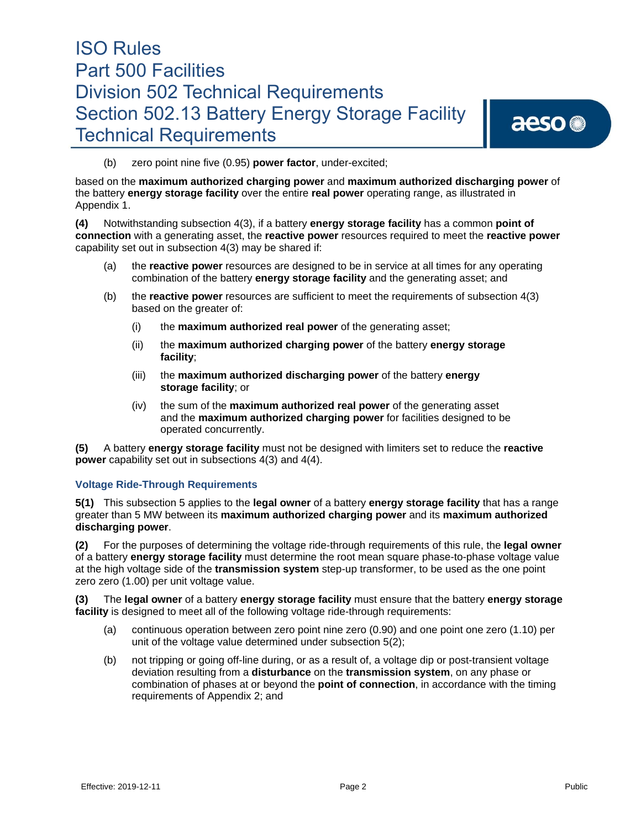aeso<sup>®</sup>

(b) zero point nine five (0.95) **power factor**, under-excited;

based on the **maximum authorized charging power** and **maximum authorized discharging power** of the battery **energy storage facility** over the entire **real power** operating range, as illustrated in Appendix 1.

**(4)** Notwithstanding subsection 4(3), if a battery **energy storage facility** has a common **point of connection** with a generating asset, the **reactive power** resources required to meet the **reactive power**  capability set out in subsection 4(3) may be shared if:

- (a) the **reactive power** resources are designed to be in service at all times for any operating combination of the battery **energy storage facility** and the generating asset; and
- (b) the **reactive power** resources are sufficient to meet the requirements of subsection 4(3) based on the greater of:
	- (i) the **maximum authorized real power** of the generating asset;
	- (ii) the **maximum authorized charging power** of the battery **energy storage facility**;
	- (iii) the **maximum authorized discharging power** of the battery **energy storage facility**; or
	- (iv) the sum of the **maximum authorized real power** of the generating asset and the **maximum authorized charging power** for facilities designed to be operated concurrently.

**(5)** A battery **energy storage facility** must not be designed with limiters set to reduce the **reactive power** capability set out in subsections 4(3) and 4(4).

### **Voltage Ride-Through Requirements**

**5(1)** This subsection 5 applies to the **legal owner** of a battery **energy storage facility** that has a range greater than 5 MW between its **maximum authorized charging power** and its **maximum authorized discharging power**.

**(2)** For the purposes of determining the voltage ride-through requirements of this rule, the **legal owner**  of a battery **energy storage facility** must determine the root mean square phase-to-phase voltage value at the high voltage side of the **transmission system** step-up transformer, to be used as the one point zero zero (1.00) per unit voltage value.

**(3)** The **legal owner** of a battery **energy storage facility** must ensure that the battery **energy storage facility** is designed to meet all of the following voltage ride-through requirements:

- (a) continuous operation between zero point nine zero (0.90) and one point one zero (1.10) per unit of the voltage value determined under subsection 5(2);
- (b) not tripping or going off-line during, or as a result of, a voltage dip or post-transient voltage deviation resulting from a **disturbance** on the **transmission system**, on any phase or combination of phases at or beyond the **point of connection**, in accordance with the timing requirements of Appendix 2; and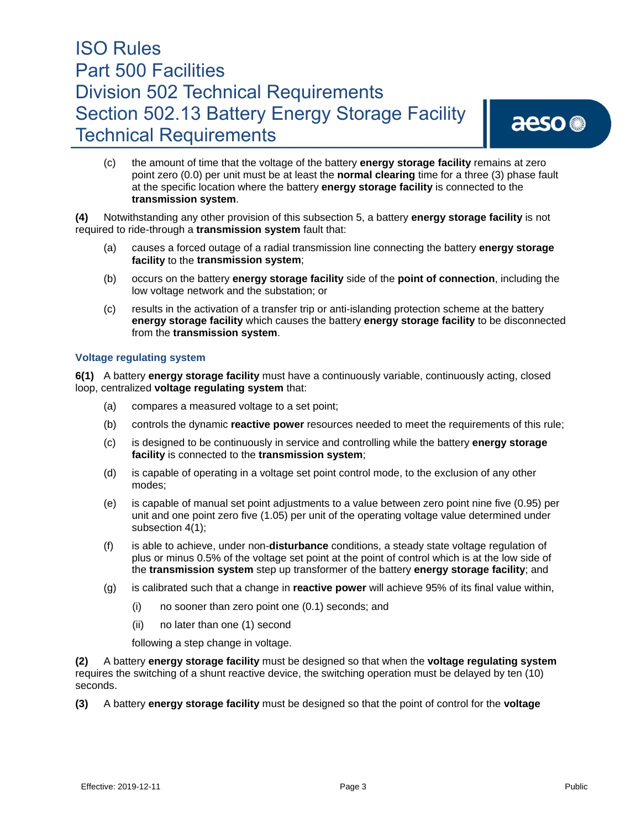# aeso<sup>®</sup>

(c) the amount of time that the voltage of the battery **energy storage facility** remains at zero point zero (0.0) per unit must be at least the **normal clearing** time for a three (3) phase fault at the specific location where the battery **energy storage facility** is connected to the **transmission system**.

**(4)** Notwithstanding any other provision of this subsection 5, a battery **energy storage facility** is not required to ride-through a **transmission system** fault that:

- (a) causes a forced outage of a radial transmission line connecting the battery **energy storage facility** to the **transmission system**;
- (b) occurs on the battery **energy storage facility** side of the **point of connection**, including the low voltage network and the substation; or
- (c) results in the activation of a transfer trip or anti-islanding protection scheme at the battery **energy storage facility** which causes the battery **energy storage facility** to be disconnected from the **transmission system**.

### **Voltage regulating system**

**6(1)** A battery **energy storage facility** must have a continuously variable, continuously acting, closed loop, centralized **voltage regulating system** that:

- (a) compares a measured voltage to a set point;
- (b) controls the dynamic **reactive power** resources needed to meet the requirements of this rule;
- (c) is designed to be continuously in service and controlling while the battery **energy storage facility** is connected to the **transmission system**;
- (d) is capable of operating in a voltage set point control mode, to the exclusion of any other modes;
- (e) is capable of manual set point adjustments to a value between zero point nine five (0.95) per unit and one point zero five (1.05) per unit of the operating voltage value determined under subsection 4(1);
- (f) is able to achieve, under non-**disturbance** conditions, a steady state voltage regulation of plus or minus 0.5% of the voltage set point at the point of control which is at the low side of the **transmission system** step up transformer of the battery **energy storage facility**; and
- (g) is calibrated such that a change in **reactive power** will achieve 95% of its final value within,
	- (i) no sooner than zero point one (0.1) seconds; and
	- (ii) no later than one (1) second

following a step change in voltage.

**(2)** A battery **energy storage facility** must be designed so that when the **voltage regulating system** requires the switching of a shunt reactive device, the switching operation must be delayed by ten (10) seconds.

**(3)** A battery **energy storage facility** must be designed so that the point of control for the **voltage**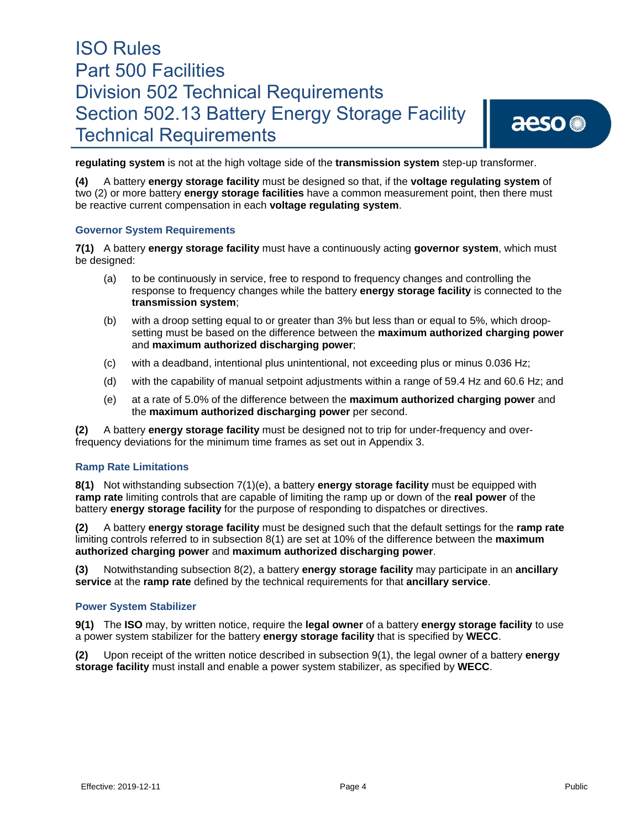# aeso<sup>®</sup>

**regulating system** is not at the high voltage side of the **transmission system** step-up transformer.

**(4)** A battery **energy storage facility** must be designed so that, if the **voltage regulating system** of two (2) or more battery **energy storage facilities** have a common measurement point, then there must be reactive current compensation in each **voltage regulating system**.

### **Governor System Requirements**

**7(1)** A battery **energy storage facility** must have a continuously acting **governor system**, which must be designed:

- (a) to be continuously in service, free to respond to frequency changes and controlling the response to frequency changes while the battery **energy storage facility** is connected to the **transmission system**;
- (b) with a droop setting equal to or greater than 3% but less than or equal to 5%, which droopsetting must be based on the difference between the **maximum authorized charging power** and **maximum authorized discharging power**;
- (c) with a deadband, intentional plus unintentional, not exceeding plus or minus 0.036 Hz;
- (d) with the capability of manual setpoint adjustments within a range of 59.4 Hz and 60.6 Hz; and
- (e) at a rate of 5.0% of the difference between the **maximum authorized charging power** and the **maximum authorized discharging power** per second.

**(2)** A battery **energy storage facility** must be designed not to trip for under-frequency and overfrequency deviations for the minimum time frames as set out in Appendix 3.

#### **Ramp Rate Limitations**

**8(1)** Not withstanding subsection 7(1)(e), a battery **energy storage facility** must be equipped with **ramp rate** limiting controls that are capable of limiting the ramp up or down of the **real power** of the battery **energy storage facility** for the purpose of responding to dispatches or directives.

**(2)** A battery **energy storage facility** must be designed such that the default settings for the **ramp rate**  limiting controls referred to in subsection 8(1) are set at 10% of the difference between the **maximum authorized charging power** and **maximum authorized discharging power**.

**(3)** Notwithstanding subsection 8(2), a battery **energy storage facility** may participate in an **ancillary service** at the **ramp rate** defined by the technical requirements for that **ancillary service**.

#### **Power System Stabilizer**

**9(1)** The **ISO** may, by written notice, require the **legal owner** of a battery **energy storage facility** to use a power system stabilizer for the battery **energy storage facility** that is specified by **WECC**.

**(2)** Upon receipt of the written notice described in subsection 9(1), the legal owner of a battery **energy storage facility** must install and enable a power system stabilizer, as specified by **WECC**.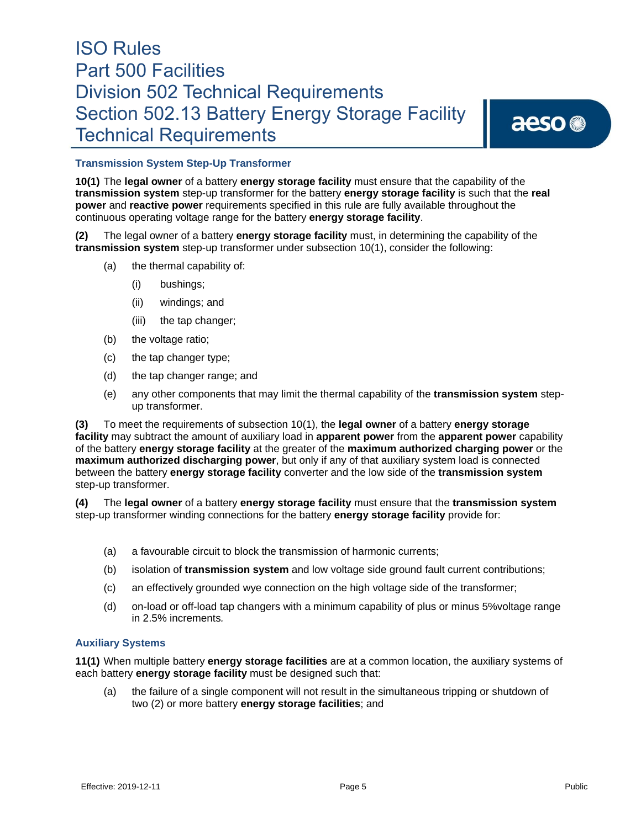# aeso<sup>®</sup>

## **Transmission System Step-Up Transformer**

**10(1)** The **legal owner** of a battery **energy storage facility** must ensure that the capability of the **transmission system** step-up transformer for the battery **energy storage facility** is such that the **real power** and **reactive power** requirements specified in this rule are fully available throughout the continuous operating voltage range for the battery **energy storage facility**.

**(2)** The legal owner of a battery **energy storage facility** must, in determining the capability of the **transmission system** step-up transformer under subsection 10(1), consider the following:

- (a) the thermal capability of:
	- (i) bushings;
	- (ii) windings; and
	- (iii) the tap changer;
- (b) the voltage ratio;
- (c) the tap changer type;
- (d) the tap changer range; and
- (e) any other components that may limit the thermal capability of the **transmission system** stepup transformer.

**(3)** To meet the requirements of subsection 10(1), the **legal owner** of a battery **energy storage facility** may subtract the amount of auxiliary load in **apparent power** from the **apparent power** capability of the battery **energy storage facility** at the greater of the **maximum authorized charging power** or the **maximum authorized discharging power**, but only if any of that auxiliary system load is connected between the battery **energy storage facility** converter and the low side of the **transmission system**  step-up transformer.

**(4)** The **legal owner** of a battery **energy storage facility** must ensure that the **transmission system**  step-up transformer winding connections for the battery **energy storage facility** provide for:

- (a) a favourable circuit to block the transmission of harmonic currents;
- (b) isolation of **transmission system** and low voltage side ground fault current contributions;
- (c) an effectively grounded wye connection on the high voltage side of the transformer;
- (d) on-load or off-load tap changers with a minimum capability of plus or minus 5%voltage range in 2.5% increments*.*

### **Auxiliary Systems**

**11(1)** When multiple battery **energy storage facilities** are at a common location, the auxiliary systems of each battery **energy storage facility** must be designed such that:

(a) the failure of a single component will not result in the simultaneous tripping or shutdown of two (2) or more battery **energy storage facilities**; and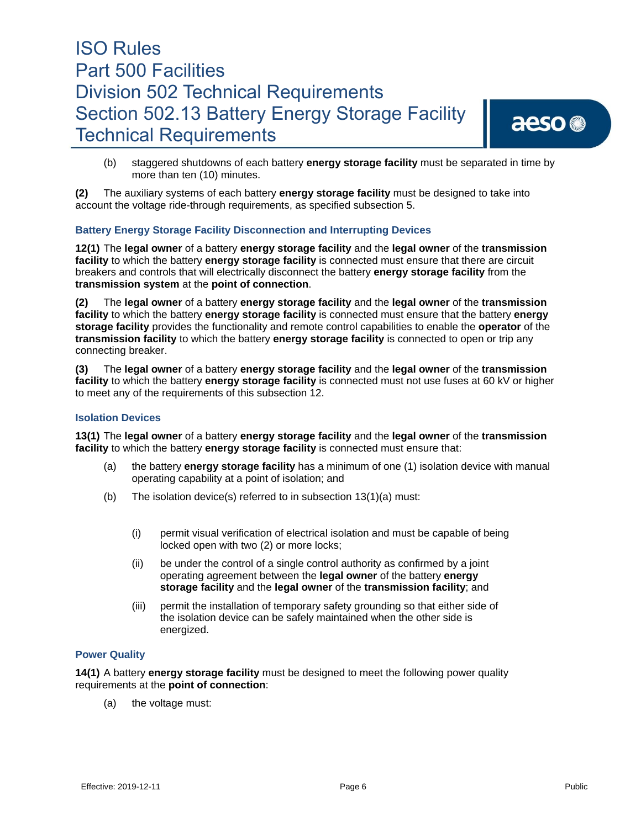aeso<sup>®</sup>

(b) staggered shutdowns of each battery **energy storage facility** must be separated in time by more than ten (10) minutes.

**(2)** The auxiliary systems of each battery **energy storage facility** must be designed to take into account the voltage ride-through requirements, as specified subsection 5.

## **Battery Energy Storage Facility Disconnection and Interrupting Devices**

**12(1)** The **legal owner** of a battery **energy storage facility** and the **legal owner** of the **transmission facility** to which the battery **energy storage facility** is connected must ensure that there are circuit breakers and controls that will electrically disconnect the battery **energy storage facility** from the **transmission system** at the **point of connection**.

**(2)** The **legal owner** of a battery **energy storage facility** and the **legal owner** of the **transmission facility** to which the battery **energy storage facility** is connected must ensure that the battery **energy storage facility** provides the functionality and remote control capabilities to enable the **operator** of the **transmission facility** to which the battery **energy storage facility** is connected to open or trip any connecting breaker.

**(3)** The **legal owner** of a battery **energy storage facility** and the **legal owner** of the **transmission facility** to which the battery **energy storage facility** is connected must not use fuses at 60 kV or higher to meet any of the requirements of this subsection 12.

#### **Isolation Devices**

**13(1)** The **legal owner** of a battery **energy storage facility** and the **legal owner** of the **transmission facility** to which the battery **energy storage facility** is connected must ensure that:

- (a) the battery **energy storage facility** has a minimum of one (1) isolation device with manual operating capability at a point of isolation; and
- (b) The isolation device(s) referred to in subsection 13(1)(a) must:
	- (i) permit visual verification of electrical isolation and must be capable of being locked open with two (2) or more locks;
	- (ii) be under the control of a single control authority as confirmed by a joint operating agreement between the **legal owner** of the battery **energy storage facility** and the **legal owner** of the **transmission facility**; and
	- (iii) permit the installation of temporary safety grounding so that either side of the isolation device can be safely maintained when the other side is energized.

### **Power Quality**

**14(1)** A battery **energy storage facility** must be designed to meet the following power quality requirements at the **point of connection**:

(a) the voltage must: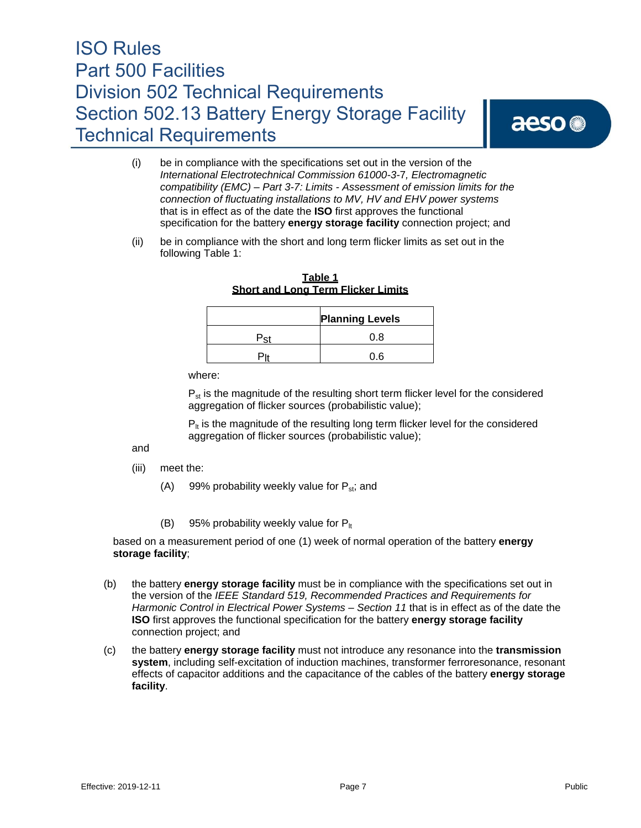# aeso<sup>®</sup>

- (i) be in compliance with the specifications set out in the version of the *International Electrotechnical Commission 61000-3-*7*, Electromagnetic compatibility (EMC) – Part 3-7: Limits - Assessment of emission limits for the connection of fluctuating installations to MV, HV and EHV power systems*  that is in effect as of the date the **ISO** first approves the functional specification for the battery **energy storage facility** connection project; and
- (ii) be in compliance with the short and long term flicker limits as set out in the following Table 1:

|     | <b>Planning Levels</b> |
|-----|------------------------|
| Pet | 0.8                    |
|     | 0.6                    |

**Table 1 Short and Long Term Flicker Limits**

where:

 $P_{st}$  is the magnitude of the resulting short term flicker level for the considered aggregation of flicker sources (probabilistic value);

 $P_{\text{lt}}$  is the magnitude of the resulting long term flicker level for the considered aggregation of flicker sources (probabilistic value);

and

- (iii) meet the:
	- (A) 99% probability weekly value for  $P_{st}$ ; and
	- (B) 95% probability weekly value for  $P_{\text{lt}}$

based on a measurement period of one (1) week of normal operation of the battery **energy storage facility**;

- (b) the battery **energy storage facility** must be in compliance with the specifications set out in the version of the *IEEE Standard 519, Recommended Practices and Requirements for Harmonic Control in Electrical Power Systems – Section 11* that is in effect as of the date the **ISO** first approves the functional specification for the battery **energy storage facility**  connection project; and
- (c) the battery **energy storage facility** must not introduce any resonance into the **transmission system**, including self-excitation of induction machines, transformer ferroresonance, resonant effects of capacitor additions and the capacitance of the cables of the battery **energy storage facility**.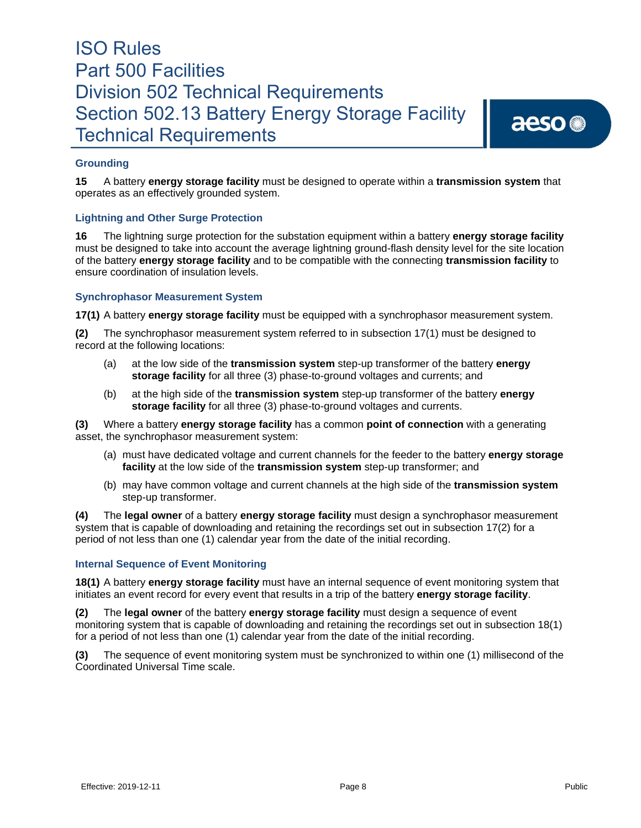# aeso<sup>®</sup>

# **Grounding**

**15** A battery **energy storage facility** must be designed to operate within a **transmission system** that operates as an effectively grounded system.

# **Lightning and Other Surge Protection**

**16** The lightning surge protection for the substation equipment within a battery **energy storage facility** must be designed to take into account the average lightning ground-flash density level for the site location of the battery **energy storage facility** and to be compatible with the connecting **transmission facility** to ensure coordination of insulation levels.

## **Synchrophasor Measurement System**

**17(1)** A battery **energy storage facility** must be equipped with a synchrophasor measurement system.

**(2)** The synchrophasor measurement system referred to in subsection 17(1) must be designed to record at the following locations:

- (a) at the low side of the **transmission system** step-up transformer of the battery **energy storage facility** for all three (3) phase-to-ground voltages and currents; and
- (b) at the high side of the **transmission system** step-up transformer of the battery **energy storage facility** for all three (3) phase-to-ground voltages and currents.

**(3)** Where a battery **energy storage facility** has a common **point of connection** with a generating asset, the synchrophasor measurement system:

- (a) must have dedicated voltage and current channels for the feeder to the battery **energy storage facility** at the low side of the **transmission system** step-up transformer; and
- (b) may have common voltage and current channels at the high side of the **transmission system** step-up transformer.

**(4)** The **legal owner** of a battery **energy storage facility** must design a synchrophasor measurement system that is capable of downloading and retaining the recordings set out in subsection 17(2) for a period of not less than one (1) calendar year from the date of the initial recording.

### **Internal Sequence of Event Monitoring**

**18(1)** A battery **energy storage facility** must have an internal sequence of event monitoring system that initiates an event record for every event that results in a trip of the battery **energy storage facility**.

**(2)** The **legal owner** of the battery **energy storage facility** must design a sequence of event monitoring system that is capable of downloading and retaining the recordings set out in subsection 18(1) for a period of not less than one (1) calendar year from the date of the initial recording.

**(3)** The sequence of event monitoring system must be synchronized to within one (1) millisecond of the Coordinated Universal Time scale.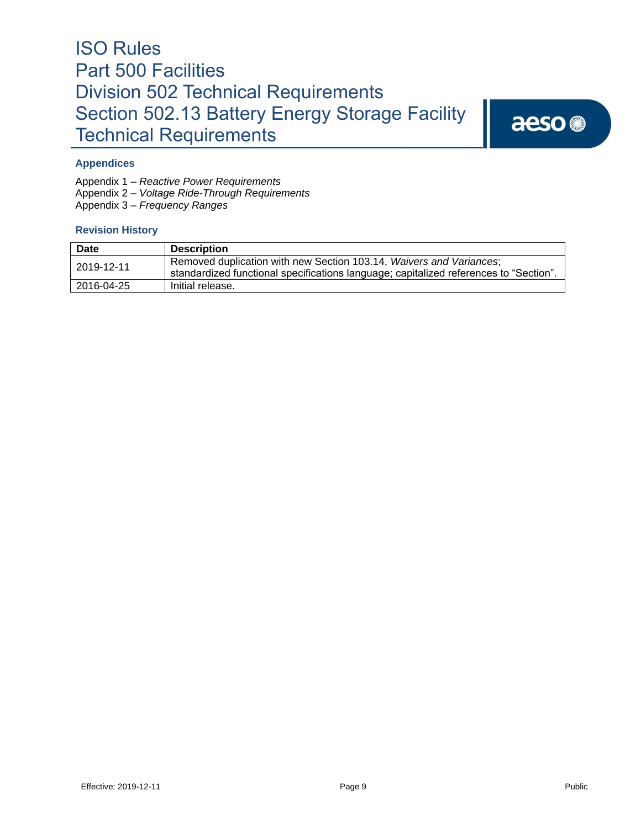aeso<sup>®</sup>

## **Appendices**

Appendix 1 – *Reactive Power Requirements* 

Appendix 2 – *Voltage Ride-Through Requirements* 

Appendix 3 – *Frequency Ranges*

## **Revision History**

| <b>Date</b> | <b>Description</b>                                                                                                                                           |
|-------------|--------------------------------------------------------------------------------------------------------------------------------------------------------------|
| 2019-12-11  | Removed duplication with new Section 103.14, Waivers and Variances;<br>standardized functional specifications language; capitalized references to "Section". |
| 2016-04-25  | Initial release.                                                                                                                                             |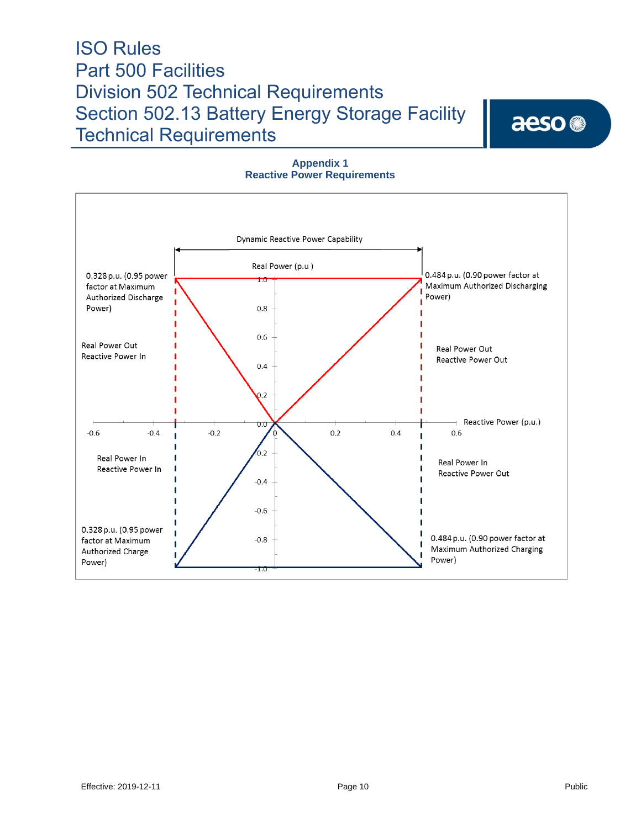aeso<sup>®</sup>



## **Appendix 1 Reactive Power Requirements**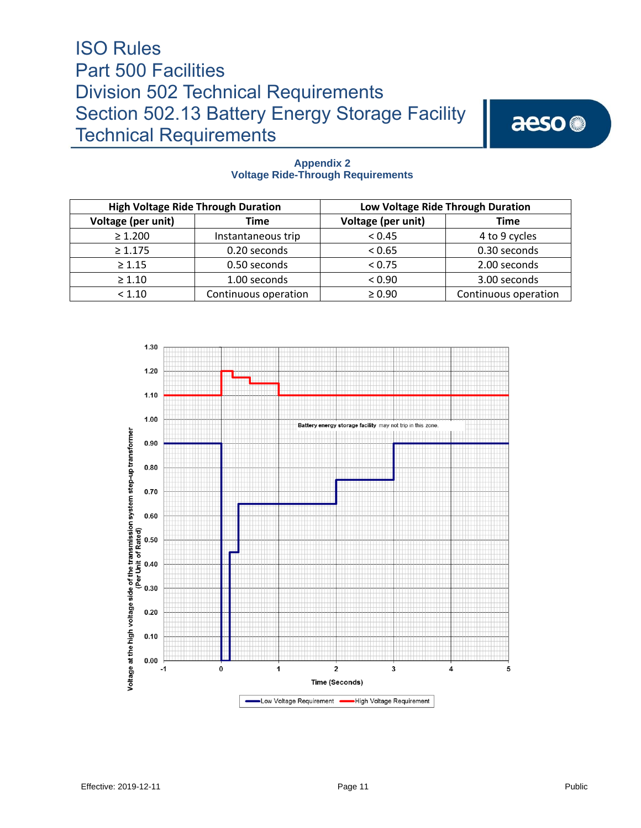aeso<sup>®</sup>

| <b>High Voltage Ride Through Duration</b> |                      | Low Voltage Ride Through Duration |                      |
|-------------------------------------------|----------------------|-----------------------------------|----------------------|
| Voltage (per unit)                        | Time                 | Voltage (per unit)                | <b>Time</b>          |
| $\geq 1.200$                              | Instantaneous trip   | < 0.45                            | 4 to 9 cycles        |
| $\geq 1.175$                              | 0.20 seconds         | < 0.65                            | 0.30 seconds         |
| $\geq 1.15$                               | 0.50 seconds         | < 0.75                            | 2.00 seconds         |
| $\geq 1.10$                               | 1.00 seconds         | < 0.90                            | 3.00 seconds         |
| < 1.10                                    | Continuous operation | $\geq 0.90$                       | Continuous operation |

### **Appendix 2 Voltage Ride-Through Requirements**